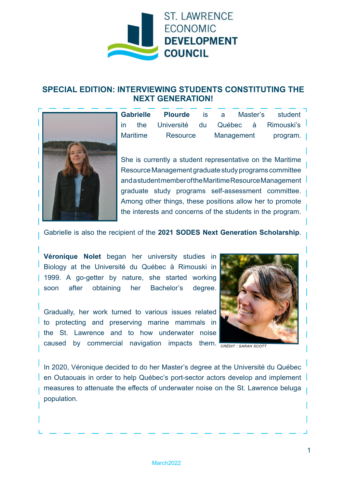

## **SPECIAL EDITION: INTERVIEWING STUDENTS CONSTITUTING THE NEXT GENERATION!**



**Gabrielle Plourde** is a Master's student in the Université du Québec à Rimouski's Maritime Resource Management program.

She is currently a student representative on the Maritime Resource Management graduate study programs committee and a student member of the Maritime Resource Management graduate study programs self-assessment committee. Among other things, these positions allow her to promote the interests and concerns of the students in the program.

Gabrielle is also the recipient of the **2021 SODES Next Generation Scholarship**.

**Véronique Nolet** began her university studies in Biology at the Université du Québec à Rimouski in 1999. A go-getter by nature, she started working soon after obtaining her Bachelor's degree.

Gradually, her work turned to various issues related to protecting and preserving marine mammals in the St. Lawrence and to how underwater noise caused by commercial navigation impacts them. <sub>све́огт: sаван scoтт</sub>



In 2020, Véronique decided to do her Master's degree at the Université du Québec en Outaouais in order to help Québec's port-sector actors develop and implement measures to attenuate the effects of underwater noise on the St. Lawrence beluga population.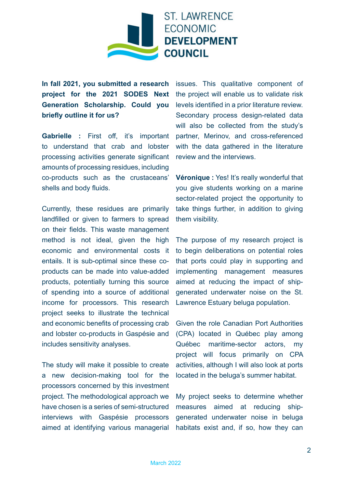

**In fall 2021, you submitted a research project for the 2021 SODES Next Generation Scholarship. Could you briefly outline it for us?**

**Gabrielle :** First off, it's important to understand that crab and lobster processing activities generate significant amounts of processing residues, including co-products such as the crustaceans' shells and body fluids.

Currently, these residues are primarily landfilled or given to farmers to spread on their fields. This waste management method is not ideal, given the high economic and environmental costs it entails. It is sub-optimal since these coproducts can be made into value-added products, potentially turning this source of spending into a source of additional income for processors. This research project seeks to illustrate the technical and economic benefits of processing crab and lobster co-products in Gaspésie and includes sensitivity analyses.

The study will make it possible to create a new decision-making tool for the processors concerned by this investment project. The methodological approach we have chosen is a series of semi-structured interviews with Gaspésie processors aimed at identifying various managerial

issues. This qualitative component of the project will enable us to validate risk levels identified in a prior literature review. Secondary process design-related data will also be collected from the study's partner, Merinov, and cross-referenced with the data gathered in the literature review and the interviews.

**Véronique :** Yes! It's really wonderful that you give students working on a marine sector-related project the opportunity to take things further, in addition to giving them visibility.

The purpose of my research project is to begin deliberations on potential roles that ports could play in supporting and implementing management measures aimed at reducing the impact of shipgenerated underwater noise on the St. Lawrence Estuary beluga population.

Given the role Canadian Port Authorities (CPA) located in Québec play among Québec maritime-sector actors, my project will focus primarily on CPA activities, although I will also look at ports located in the beluga's summer habitat.

My project seeks to determine whether measures aimed at reducing shipgenerated underwater noise in beluga habitats exist and, if so, how they can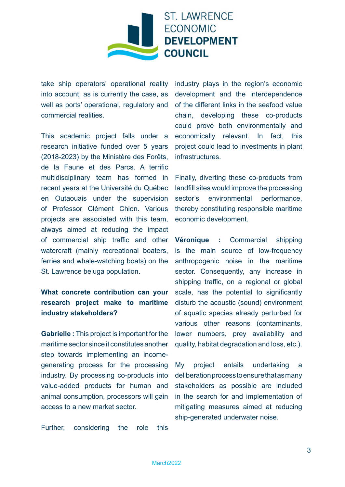

take ship operators' operational reality into account, as is currently the case, as well as ports' operational, regulatory and commercial realities.

This academic project falls under a research initiative funded over 5 years (2018-2023) by the Ministère des Forêts, de la Faune et des Parcs. A terrific multidisciplinary team has formed in recent years at the Université du Québec en Outaouais under the supervision of Professor Clément Chion. Various projects are associated with this team, always aimed at reducing the impact of commercial ship traffic and other watercraft (mainly recreational boaters, ferries and whale-watching boats) on the St. Lawrence beluga population.

## **What concrete contribution can your research project make to maritime industry stakeholders?**

**Gabrielle :** This project is important for the maritime sector since it constitutes another step towards implementing an incomegenerating process for the processing industry. By processing co-products into value-added products for human and animal consumption, processors will gain access to a new market sector.

Further, considering the role this

industry plays in the region's economic development and the interdependence of the different links in the seafood value chain, developing these co-products could prove both environmentally and economically relevant. In fact, this project could lead to investments in plant **infrastructures** 

Finally, diverting these co-products from landfill sites would improve the processing sector's environmental performance, thereby constituting responsible maritime economic development.

**Véronique :** Commercial shipping is the main source of low-frequency anthropogenic noise in the maritime sector. Consequently, any increase in shipping traffic, on a regional or global scale, has the potential to significantly disturb the acoustic (sound) environment of aquatic species already perturbed for various other reasons (contaminants, lower numbers, prey availability and quality, habitat degradation and loss, etc.).

My project entails undertaking a deliberation process to ensure that as many stakeholders as possible are included in the search for and implementation of mitigating measures aimed at reducing ship-generated underwater noise.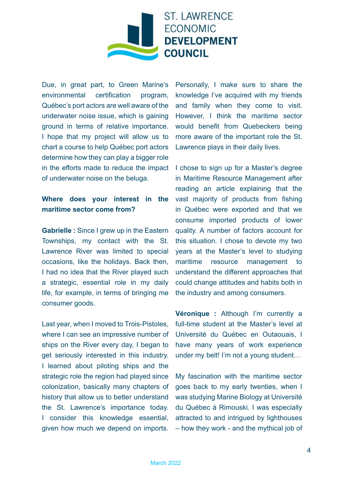

Due, in great part, to Green Marine's environmental certification program, Québec's port actors are well aware of the underwater noise issue, which is gaining ground in terms of relative importance. I hope that my project will allow us to chart a course to help Québec port actors determine how they can play a bigger role in the efforts made to reduce the impact of underwater noise on the beluga.

## **Where does your interest in the maritime sector come from?**

**Gabrielle :** Since I grew up in the Eastern Townships, my contact with the St. Lawrence River was limited to special occasions, like the holidays. Back then, I had no idea that the River played such a strategic, essential role in my daily life, for example, in terms of bringing me consumer goods.

Last year, when I moved to Trois-Pistoles, where I can see an impressive number of ships on the River every day, I began to get seriously interested in this industry. I learned about piloting ships and the strategic role the region had played since colonization, basically many chapters of history that allow us to better understand the St. Lawrence's importance today. I consider this knowledge essential, given how much we depend on imports.

Personally, I make sure to share the knowledge I've acquired with my friends and family when they come to visit. However, I think the maritime sector would benefit from Quebeckers being more aware of the important role the St. Lawrence plays in their daily lives.

I chose to sign up for a Master's degree in Maritime Resource Management after reading an article explaining that the vast majority of products from fishing in Québec were exported and that we consume imported products of lower quality. A number of factors account for this situation. I chose to devote my two years at the Master's level to studying maritime resource management to understand the different approaches that could change attitudes and habits both in the industry and among consumers.

**Véronique :** Although I'm currently a full-time student at the Master's level at Université du Québec en Outaouais, I have many years of work experience under my belt! I'm not a young student…

My fascination with the maritime sector goes back to my early twenties, when I was studying Marine Biology at Université du Québec à Rimouski. I was especially attracted to and intrigued by lighthouses – how they work - and the mythical job of